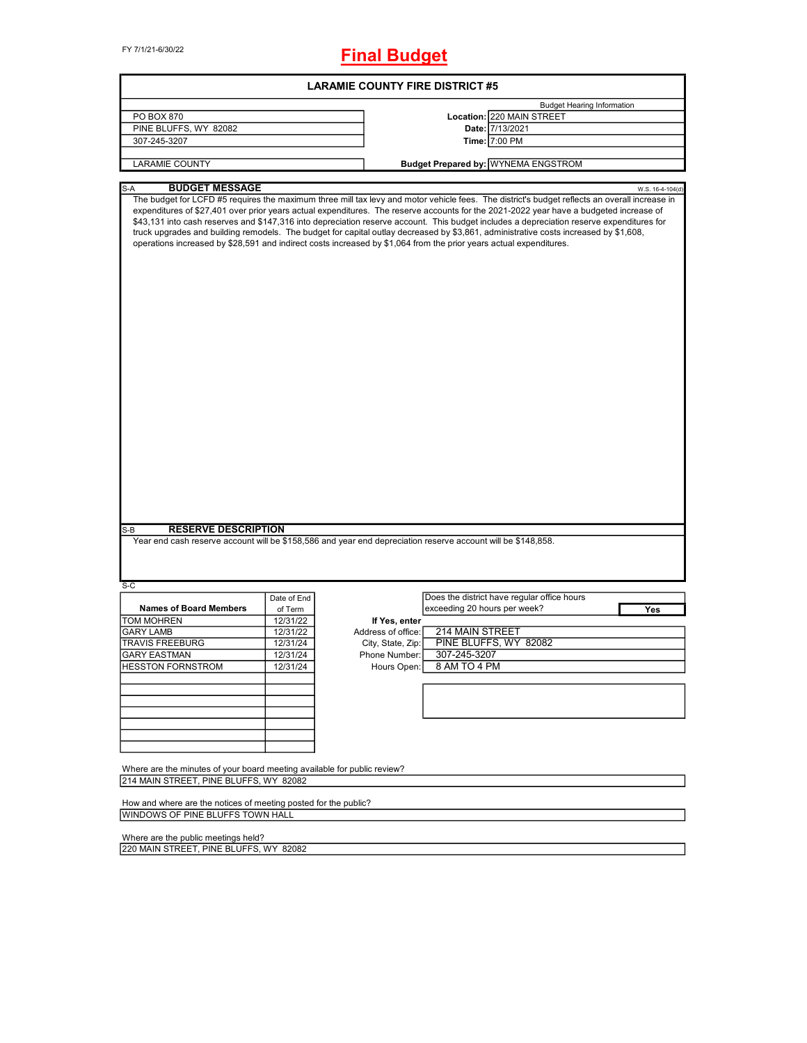FY 7/1/21-6/30/22

# **Final Budget**

|                                                                                                                    |             | <b>LARAMIE COUNTY FIRE DISTRICT #5</b> |                                                                                                                                                                                                                                                                                                                                                                                                                                                                                                                                                                                                                                                                                                    |                  |
|--------------------------------------------------------------------------------------------------------------------|-------------|----------------------------------------|----------------------------------------------------------------------------------------------------------------------------------------------------------------------------------------------------------------------------------------------------------------------------------------------------------------------------------------------------------------------------------------------------------------------------------------------------------------------------------------------------------------------------------------------------------------------------------------------------------------------------------------------------------------------------------------------------|------------------|
|                                                                                                                    |             |                                        | <b>Budget Hearing Information</b>                                                                                                                                                                                                                                                                                                                                                                                                                                                                                                                                                                                                                                                                  |                  |
| PO BOX 870                                                                                                         |             |                                        | Location: 220 MAIN STREET                                                                                                                                                                                                                                                                                                                                                                                                                                                                                                                                                                                                                                                                          |                  |
| PINE BLUFFS, WY 82082                                                                                              |             |                                        | Date: 7/13/2021                                                                                                                                                                                                                                                                                                                                                                                                                                                                                                                                                                                                                                                                                    |                  |
| 307-245-3207                                                                                                       |             |                                        | Time: 7:00 PM                                                                                                                                                                                                                                                                                                                                                                                                                                                                                                                                                                                                                                                                                      |                  |
|                                                                                                                    |             |                                        |                                                                                                                                                                                                                                                                                                                                                                                                                                                                                                                                                                                                                                                                                                    |                  |
| <b>LARAMIE COUNTY</b>                                                                                              |             |                                        | <b>Budget Prepared by: WYNEMA ENGSTROM</b>                                                                                                                                                                                                                                                                                                                                                                                                                                                                                                                                                                                                                                                         |                  |
| <b>BUDGET MESSAGE</b><br>S-A                                                                                       |             |                                        |                                                                                                                                                                                                                                                                                                                                                                                                                                                                                                                                                                                                                                                                                                    | W.S. 16-4-104(d) |
|                                                                                                                    |             |                                        | The budget for LCFD #5 requires the maximum three mill tax levy and motor vehicle fees. The district's budget reflects an overall increase in<br>expenditures of \$27,401 over prior years actual expenditures. The reserve accounts for the 2021-2022 year have a budgeted increase of<br>\$43,131 into cash reserves and \$147,316 into depreciation reserve account. This budget includes a depreciation reserve expenditures for<br>truck upgrades and building remodels. The budget for capital outlay decreased by \$3,861, administrative costs increased by \$1,608,<br>operations increased by \$28,591 and indirect costs increased by \$1,064 from the prior years actual expenditures. |                  |
|                                                                                                                    |             |                                        |                                                                                                                                                                                                                                                                                                                                                                                                                                                                                                                                                                                                                                                                                                    |                  |
| <b>RESERVE DESCRIPTION</b><br>S-B                                                                                  |             |                                        |                                                                                                                                                                                                                                                                                                                                                                                                                                                                                                                                                                                                                                                                                                    |                  |
|                                                                                                                    |             |                                        | Year end cash reserve account will be \$158,586 and year end depreciation reserve account will be \$148,858.                                                                                                                                                                                                                                                                                                                                                                                                                                                                                                                                                                                       |                  |
| S-C                                                                                                                |             |                                        |                                                                                                                                                                                                                                                                                                                                                                                                                                                                                                                                                                                                                                                                                                    |                  |
|                                                                                                                    | Date of End |                                        | Does the district have regular office hours                                                                                                                                                                                                                                                                                                                                                                                                                                                                                                                                                                                                                                                        |                  |
| <b>Names of Board Members</b>                                                                                      | of Term     |                                        | exceeding 20 hours per week?                                                                                                                                                                                                                                                                                                                                                                                                                                                                                                                                                                                                                                                                       | Yes              |
| <b>TOM MOHREN</b>                                                                                                  | 12/31/22    | If Yes, enter                          |                                                                                                                                                                                                                                                                                                                                                                                                                                                                                                                                                                                                                                                                                                    |                  |
| <b>GARY LAMB</b>                                                                                                   | 12/31/22    | Address of office:                     | <b>214 MAIN STREET</b>                                                                                                                                                                                                                                                                                                                                                                                                                                                                                                                                                                                                                                                                             |                  |
| <b>TRAVIS FREEBURG</b>                                                                                             | 12/31/24    | City, State, Zip:                      | PINE BLUFFS, WY 82082                                                                                                                                                                                                                                                                                                                                                                                                                                                                                                                                                                                                                                                                              |                  |
| GARY EASTMAN                                                                                                       | 12/31/24    | Phone Number:                          | 307-245-3207                                                                                                                                                                                                                                                                                                                                                                                                                                                                                                                                                                                                                                                                                       |                  |
| <b>HESSTON FORNSTROM</b>                                                                                           | 12/31/24    | Hours Open:                            | 8 AM TO 4 PM                                                                                                                                                                                                                                                                                                                                                                                                                                                                                                                                                                                                                                                                                       |                  |
|                                                                                                                    |             |                                        |                                                                                                                                                                                                                                                                                                                                                                                                                                                                                                                                                                                                                                                                                                    |                  |
|                                                                                                                    |             |                                        |                                                                                                                                                                                                                                                                                                                                                                                                                                                                                                                                                                                                                                                                                                    |                  |
|                                                                                                                    |             |                                        |                                                                                                                                                                                                                                                                                                                                                                                                                                                                                                                                                                                                                                                                                                    |                  |
|                                                                                                                    |             |                                        |                                                                                                                                                                                                                                                                                                                                                                                                                                                                                                                                                                                                                                                                                                    |                  |
|                                                                                                                    |             |                                        |                                                                                                                                                                                                                                                                                                                                                                                                                                                                                                                                                                                                                                                                                                    |                  |
|                                                                                                                    |             |                                        |                                                                                                                                                                                                                                                                                                                                                                                                                                                                                                                                                                                                                                                                                                    |                  |
| Where are the minutes of your board meeting available for public review?<br>214 MAIN STREET, PINE BLUFFS, WY 82082 |             |                                        |                                                                                                                                                                                                                                                                                                                                                                                                                                                                                                                                                                                                                                                                                                    |                  |
|                                                                                                                    |             |                                        |                                                                                                                                                                                                                                                                                                                                                                                                                                                                                                                                                                                                                                                                                                    |                  |
| How and where are the notices of meeting posted for the public?<br>WINDOWS OF PINE BLUFFS TOWN HALL                |             |                                        |                                                                                                                                                                                                                                                                                                                                                                                                                                                                                                                                                                                                                                                                                                    |                  |
|                                                                                                                    |             |                                        |                                                                                                                                                                                                                                                                                                                                                                                                                                                                                                                                                                                                                                                                                                    |                  |
|                                                                                                                    |             |                                        |                                                                                                                                                                                                                                                                                                                                                                                                                                                                                                                                                                                                                                                                                                    |                  |
| Where are the public meetings held?                                                                                |             |                                        |                                                                                                                                                                                                                                                                                                                                                                                                                                                                                                                                                                                                                                                                                                    |                  |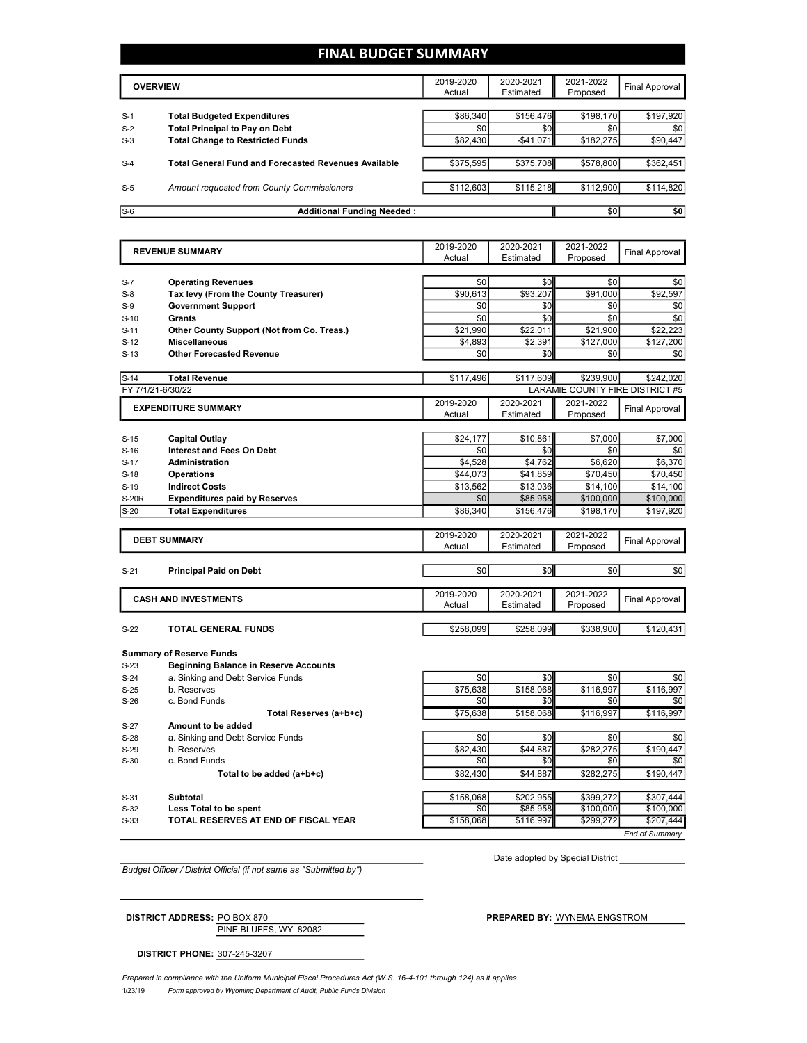#### **FINAL BUDGET SUMMARY**

|       | <b>OVERVIEW</b>                                             | 2019-2020<br>Actual | 2020-2021<br>Estimated | 2021-2022<br>Proposed | Final Approval |
|-------|-------------------------------------------------------------|---------------------|------------------------|-----------------------|----------------|
|       |                                                             |                     |                        |                       |                |
| $S-1$ | <b>Total Budgeted Expenditures</b>                          | \$86,340            | \$156,476              | \$198,170             | \$197,920      |
| $S-2$ | <b>Total Principal to Pay on Debt</b>                       | \$0                 | \$0                    | \$0                   | \$0            |
| $S-3$ | <b>Total Change to Restricted Funds</b>                     | \$82,430            | $-$41.071$             | \$182,275             | \$90,447       |
|       |                                                             |                     |                        |                       |                |
| $S-4$ | <b>Total General Fund and Forecasted Revenues Available</b> | \$375,595           | \$375,708              | \$578.800             | \$362,451      |
|       |                                                             |                     |                        |                       |                |
| $S-5$ | Amount requested from County Commissioners                  | \$112,603           | \$115,218              | \$112,900             | \$114,820      |
|       |                                                             |                     |                        |                       |                |
| $S-6$ | Additional Funding Needed:                                  |                     |                        | \$0                   | \$0            |

|              | <b>REVENUE SUMMARY</b>                       | 2019-2020        | 2020-2021             | 2021-2022                       | <b>Final Approval</b>  |
|--------------|----------------------------------------------|------------------|-----------------------|---------------------------------|------------------------|
|              |                                              | Actual           | Estimated             | Proposed                        |                        |
|              |                                              |                  |                       |                                 |                        |
| $S-7$        | <b>Operating Revenues</b>                    | \$0              | \$0                   | \$0                             | \$0                    |
| $S-8$        | Tax levy (From the County Treasurer)         | \$90,613         | \$93,207              | \$91,000                        | \$92,597               |
| $S-9$        | <b>Government Support</b>                    | \$0              | \$0                   | \$0                             | \$0                    |
| $S-10$       | <b>Grants</b>                                | \$0              | \$0                   | \$0                             | \$0                    |
| $S-11$       | Other County Support (Not from Co. Treas.)   | \$21,990         | \$22,011              | \$21,900                        | \$22,223               |
| $S-12$       | <b>Miscellaneous</b>                         | \$4,893          | \$2,391               | \$127,000                       | \$127,200              |
| $S-13$       | <b>Other Forecasted Revenue</b>              | \$0              | \$0                   | \$0                             | \$0                    |
| $S-14$       | <b>Total Revenue</b>                         | \$117,496        | \$117,609             | \$239,900                       | \$242,020              |
|              | FY 7/1/21-6/30/22                            |                  |                       | LARAMIE COUNTY FIRE DISTRICT #5 |                        |
|              | <b>EXPENDITURE SUMMARY</b>                   | 2019-2020        | 2020-2021             | 2021-2022                       | Final Approval         |
|              |                                              | Actual           | Estimated             | Proposed                        |                        |
|              |                                              |                  |                       |                                 |                        |
| $S-15$       | <b>Capital Outlay</b>                        | \$24.177         | \$10,861              | \$7,000                         | \$7,000                |
| $S-16$       | <b>Interest and Fees On Debt</b>             | \$0              | \$0                   | \$0                             | \$0                    |
| $S-17$       | <b>Administration</b>                        | \$4,528          | \$4,762               | \$6,620                         | \$6,370                |
| $S-18$       | <b>Operations</b>                            | \$44,073         | \$41,859              | \$70,450                        | \$70,450               |
| $S-19$       | <b>Indirect Costs</b>                        | \$13,562         | \$13,036              | \$14,100                        | \$14,100               |
| <b>S-20R</b> | <b>Expenditures paid by Reserves</b>         | \$0              | \$85,958              | \$100,000                       | \$100,000              |
| $S-20$       | <b>Total Expenditures</b>                    | \$86,340         | \$156,476             | \$198,170                       | \$197,920              |
|              |                                              | 2019-2020        | 2020-2021             | 2021-2022                       |                        |
|              | <b>DEBT SUMMARY</b>                          | Actual           | Estimated             | Proposed                        | <b>Final Approval</b>  |
|              |                                              |                  |                       |                                 |                        |
|              | <b>Principal Paid on Debt</b>                | \$0              | \$0                   |                                 | \$0                    |
| $S-21$       |                                              |                  |                       | \$0                             |                        |
|              |                                              |                  |                       |                                 |                        |
|              |                                              | 2019-2020        | 2020-2021             | 2021-2022                       |                        |
|              | <b>CASH AND INVESTMENTS</b>                  | Actual           | Estimated             | Proposed                        | <b>Final Approval</b>  |
|              |                                              |                  |                       |                                 |                        |
| $S-22$       | TOTAL GENERAL FUNDS                          | \$258,099        | \$258,099             | \$338,900                       | \$120,431              |
|              |                                              |                  |                       |                                 |                        |
|              | <b>Summary of Reserve Funds</b>              |                  |                       |                                 |                        |
| $S-23$       | <b>Beginning Balance in Reserve Accounts</b> |                  |                       |                                 |                        |
| $S-24$       | a. Sinking and Debt Service Funds            | \$0              | \$0                   | \$0                             | \$0                    |
| $S-25$       | b. Reserves                                  | \$75,638         | \$158,068             | \$116,997                       | \$116,997              |
| $S-26$       | c. Bond Funds                                | \$0              | \$0                   | \$0                             | \$0                    |
|              | Total Reserves (a+b+c)                       | \$75,638         | \$158,068             | \$116,997                       | \$116,997              |
| $S-27$       | Amount to be added                           |                  |                       |                                 |                        |
| $S-28$       | a. Sinking and Debt Service Funds            | \$0              | \$0                   | \$0                             | \$0                    |
| $S-29$       | b. Reserves                                  | \$82,430         | \$44,887              | \$282,275                       | \$190,447              |
| $S-30$       | c. Bond Funds                                | \$0              | \$0                   | \$0                             | \$0                    |
|              | Total to be added (a+b+c)                    | \$82,430         | \$44,887              | \$282,275                       | \$190,447              |
|              |                                              |                  |                       |                                 |                        |
| $S-31$       | Subtotal                                     | \$158.068<br>\$0 | \$202.955<br>\$85,958 | \$399.272<br>\$100,000          | \$307.444<br>\$100,000 |

S-33 **TOTAL RESERVES AT END OF FISCAL YEAR** \$158,068 \$116,997 \$299,272 \$207,444

*Budget Officer / District Official (if not same as "Submitted by")*

Date adopted by Special District

*End of Summary*

PINE BLUFFS, WY 82082 **DISTRICT ADDRESS:** PO BOX 870 **PREPARED BY:** WYNEMA ENGSTROM

**DISTRICT PHONE:** 307-245-3207

*Prepared in compliance with the Uniform Municipal Fiscal Procedures Act (W.S. 16-4-101 through 124) as it applies.*

1/23/19 *Form approved by Wyoming Department of Audit, Public Funds Division*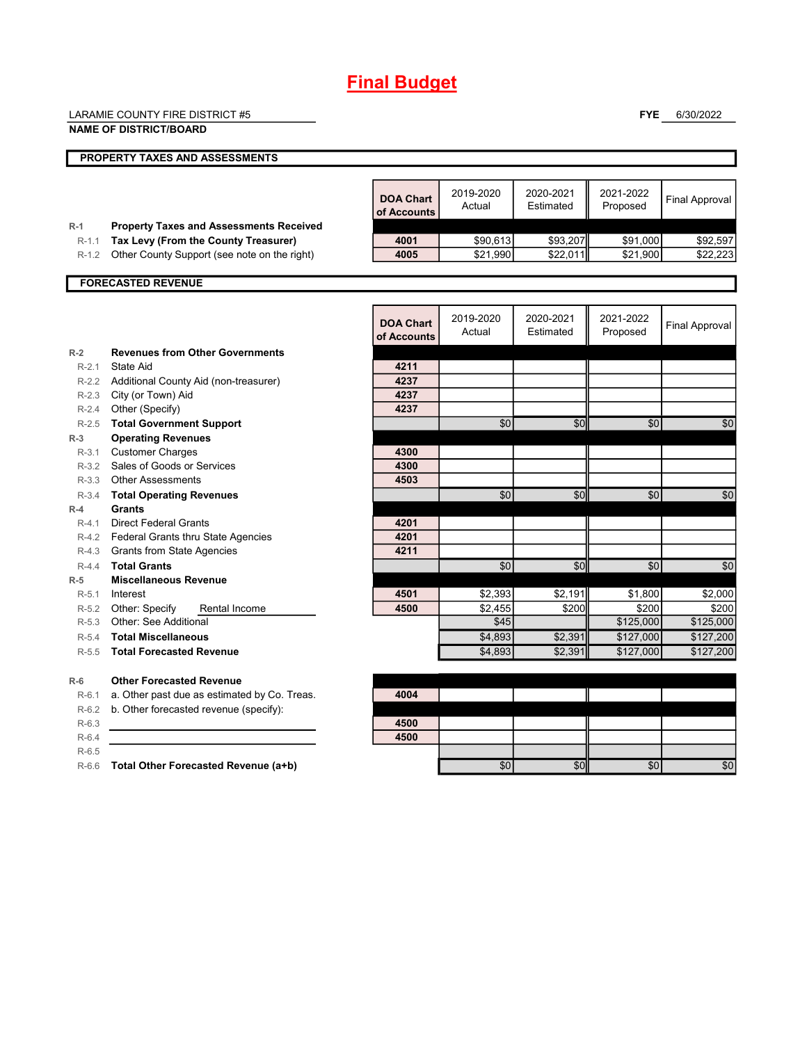# **Final Budget**

|           | <b>LARAMIE COUNTY FIRE DISTRICT #5</b>                                       |                                 |                      |                        | <b>FYE</b>            | 6/30/2022             |
|-----------|------------------------------------------------------------------------------|---------------------------------|----------------------|------------------------|-----------------------|-----------------------|
|           | <b>NAME OF DISTRICT/BOARD</b>                                                |                                 |                      |                        |                       |                       |
|           | PROPERTY TAXES AND ASSESSMENTS                                               |                                 |                      |                        |                       |                       |
|           |                                                                              |                                 |                      |                        |                       |                       |
|           |                                                                              | <b>DOA Chart</b><br>of Accounts | 2019-2020<br>Actual  | 2020-2021<br>Estimated | 2021-2022<br>Proposed | <b>Final Approval</b> |
| $R-1$     | <b>Property Taxes and Assessments Received</b>                               |                                 |                      |                        |                       |                       |
| $R-1.1$   | Tax Levy (From the County Treasurer)                                         | 4001<br>4005                    | \$90,613<br>\$21,990 | \$93,207<br>\$22,011   | \$91,000<br>\$21,900  | \$92,597<br>\$22,223  |
| $R-1.2$   | Other County Support (see note on the right)                                 |                                 |                      |                        |                       |                       |
|           | <b>FORECASTED REVENUE</b>                                                    |                                 |                      |                        |                       |                       |
|           |                                                                              |                                 |                      |                        |                       |                       |
|           |                                                                              | <b>DOA Chart</b><br>of Accounts | 2019-2020<br>Actual  | 2020-2021<br>Estimated | 2021-2022<br>Proposed | <b>Final Approval</b> |
| $R-2$     | <b>Revenues from Other Governments</b>                                       |                                 |                      |                        |                       |                       |
| $R-2.1$   | State Aid                                                                    | 4211                            |                      |                        |                       |                       |
|           | R-2.2 Additional County Aid (non-treasurer)                                  | 4237                            |                      |                        |                       |                       |
|           | R-2.3 City (or Town) Aid                                                     | 4237                            |                      |                        |                       |                       |
|           | R-2.4 Other (Specify)                                                        | 4237                            |                      |                        |                       |                       |
| $R-2.5$   | <b>Total Government Support</b>                                              |                                 | \$0                  | \$0                    | \$0                   | \$0                   |
| $R-3$     | <b>Operating Revenues</b>                                                    |                                 |                      |                        |                       |                       |
| $R-3.1$   | <b>Customer Charges</b>                                                      | 4300                            |                      |                        |                       |                       |
| $R-3.2$   | Sales of Goods or Services                                                   | 4300                            |                      |                        |                       |                       |
|           | R-3.3 Other Assessments                                                      | 4503                            |                      |                        |                       |                       |
| $R-3.4$   | <b>Total Operating Revenues</b>                                              |                                 | \$0                  | \$0                    | \$0                   | \$0                   |
| $R-4$     | <b>Grants</b>                                                                |                                 |                      |                        |                       |                       |
| $R-4.1$   | <b>Direct Federal Grants</b>                                                 | 4201<br>4201                    |                      |                        |                       |                       |
|           | R-4.2 Federal Grants thru State Agencies<br>R-4.3 Grants from State Agencies | 4211                            |                      |                        |                       |                       |
| $R-4.4$   | <b>Total Grants</b>                                                          |                                 | \$0                  | \$0                    | \$0                   | \$0                   |
| $R-5$     | <b>Miscellaneous Revenue</b>                                                 |                                 |                      |                        |                       |                       |
| $R-5.1$   | Interest                                                                     | 4501                            | \$2,393              | \$2,191                | \$1,800               | \$2,000               |
| $R-5.2$   | Other: Specify<br>Rental Income                                              | 4500                            | \$2,455              | \$200                  | \$200                 | \$200                 |
| $R-5.3$   | Other: See Additional                                                        |                                 | \$45                 |                        | \$125,000             | \$125,000             |
| $R - 5.4$ | <b>Total Miscellaneous</b>                                                   |                                 | \$4,893              | \$2,391                | \$127,000             | \$127,200             |
| $R-5.5$   | <b>Total Forecasted Revenue</b>                                              |                                 | \$4,893              | \$2,391                | \$127,000             | \$127,200             |
| $R-6$     | <b>Other Forecasted Revenue</b>                                              |                                 |                      |                        |                       |                       |
| $R-6.1$   | a. Other past due as estimated by Co. Treas.                                 | 4004                            |                      |                        |                       |                       |
| $R-6.2$   | b. Other forecasted revenue (specify):                                       |                                 |                      |                        |                       |                       |
| $R-6.3$   |                                                                              | 4500                            |                      |                        |                       |                       |
| $R-6.4$   |                                                                              | 4500                            |                      |                        |                       |                       |
| $R-6.5$   |                                                                              |                                 |                      |                        |                       |                       |
| $R-6.6$   | Total Other Forecasted Revenue (a+b)                                         |                                 | \$0                  | \$0                    | \$0                   | \$0                   |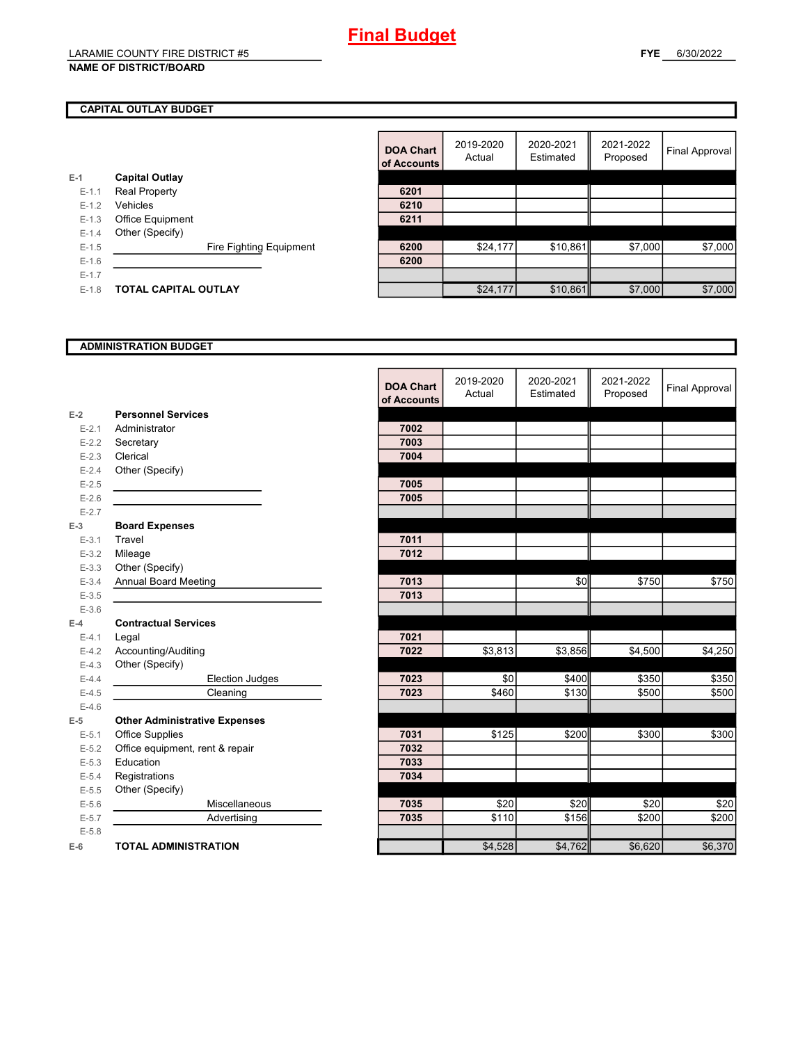# **Final Budget**

## LARAMIE COUNTY FIRE DISTRICT #5

**NAME OF DISTRICT/BOARD**

### **CAPITAL OUTLAY BUDGET**

|           |                       |                         | <b>DOA Chart</b><br>of Accounts | 2019-2020<br>Actual | 2020-2021<br>Estimated | 2021-2022<br>Proposed | <b>Final Approval</b> |
|-----------|-----------------------|-------------------------|---------------------------------|---------------------|------------------------|-----------------------|-----------------------|
| $E-1$     | <b>Capital Outlay</b> |                         |                                 |                     |                        |                       |                       |
| $E-1.1$   | <b>Real Property</b>  |                         | 6201                            |                     |                        |                       |                       |
| $E-1.2$   | <b>Vehicles</b>       |                         | 6210                            |                     |                        |                       |                       |
| $E - 1.3$ | Office Equipment      |                         | 6211                            |                     |                        |                       |                       |
| $E - 1.4$ | Other (Specify)       |                         |                                 |                     |                        |                       |                       |
| $E-1.5$   |                       | Fire Fighting Equipment | 6200                            | \$24,177            | \$10,861               | \$7,000               | \$7,000               |
| $E-1.6$   |                       |                         | 6200                            |                     |                        |                       |                       |
| $E-1.7$   |                       |                         |                                 |                     |                        |                       |                       |
| $E-1.8$   | TOTAL CAPITAL OUTLAY  |                         |                                 | \$24,177            | \$10,861               | \$7,000               | \$7,000               |
|           |                       |                         |                                 |                     |                        |                       |                       |

#### **ADMINISTRATION BUDGET**

|           |                                      | <b>DOA Chart</b><br>of Accounts | 2019-2020<br>Actual | 2020-2021<br>Estimated | 2021-2022<br>Proposed | <b>Final Approval</b> |
|-----------|--------------------------------------|---------------------------------|---------------------|------------------------|-----------------------|-----------------------|
| $E-2$     | <b>Personnel Services</b>            |                                 |                     |                        |                       |                       |
| $E - 2.1$ | Administrator                        | 7002                            |                     |                        |                       |                       |
| $E-2.2$   | Secretary                            | 7003                            |                     |                        |                       |                       |
| $E - 2.3$ | Clerical                             | 7004                            |                     |                        |                       |                       |
| $E - 2.4$ | Other (Specify)                      |                                 |                     |                        |                       |                       |
| $E-2.5$   |                                      | 7005                            |                     |                        |                       |                       |
| $E-2.6$   |                                      | 7005                            |                     |                        |                       |                       |
| $E - 2.7$ |                                      |                                 |                     |                        |                       |                       |
| $E-3$     | <b>Board Expenses</b>                |                                 |                     |                        |                       |                       |
| $E - 3.1$ | Travel                               | 7011                            |                     |                        |                       |                       |
| $E - 3.2$ | Mileage                              | 7012                            |                     |                        |                       |                       |
| $E - 3.3$ | Other (Specify)                      |                                 |                     |                        |                       |                       |
| $E - 3.4$ | <b>Annual Board Meeting</b>          | 7013                            |                     | \$0                    | \$750                 | \$750                 |
| $E-3.5$   |                                      | 7013                            |                     |                        |                       |                       |
| $E-3.6$   |                                      |                                 |                     |                        |                       |                       |
| $E-4$     | <b>Contractual Services</b>          |                                 |                     |                        |                       |                       |
| $E - 4.1$ | Legal                                | 7021                            |                     |                        |                       |                       |
| $E-4.2$   | Accounting/Auditing                  | 7022                            | \$3,813             | \$3,856                | \$4,500               | \$4,250               |
| $E-4.3$   | Other (Specify)                      |                                 |                     |                        |                       |                       |
| $E-4.4$   | Election Judges                      | 7023                            | \$0                 | \$400                  | \$350                 | \$350                 |
| $E-4.5$   | Cleaning                             | 7023                            | \$460               | \$130                  | \$500                 | \$500                 |
| $E-4.6$   |                                      |                                 |                     |                        |                       |                       |
| $E-5$     | <b>Other Administrative Expenses</b> |                                 |                     |                        |                       |                       |
| $E - 5.1$ | Office Supplies                      | 7031                            | \$125               | \$200                  | \$300                 | \$300                 |
| $E-5.2$   | Office equipment, rent & repair      | 7032                            |                     |                        |                       |                       |
| $E - 5.3$ | Education                            | 7033                            |                     |                        |                       |                       |
| $E-5.4$   | Registrations                        | 7034                            |                     |                        |                       |                       |
| $E-5.5$   | Other (Specify)                      |                                 |                     |                        |                       |                       |
| $E-5.6$   | Miscellaneous                        | 7035                            | \$20                | \$20                   | \$20                  | \$20                  |
| $E - 5.7$ | Advertising                          | 7035                            | \$110               | \$156                  | \$200                 | \$200                 |
| $E-5.8$   |                                      |                                 |                     |                        |                       |                       |
| $E-6$     | <b>TOTAL ADMINISTRATION</b>          |                                 | \$4,528             | \$4,762                | \$6,620               | \$6,370               |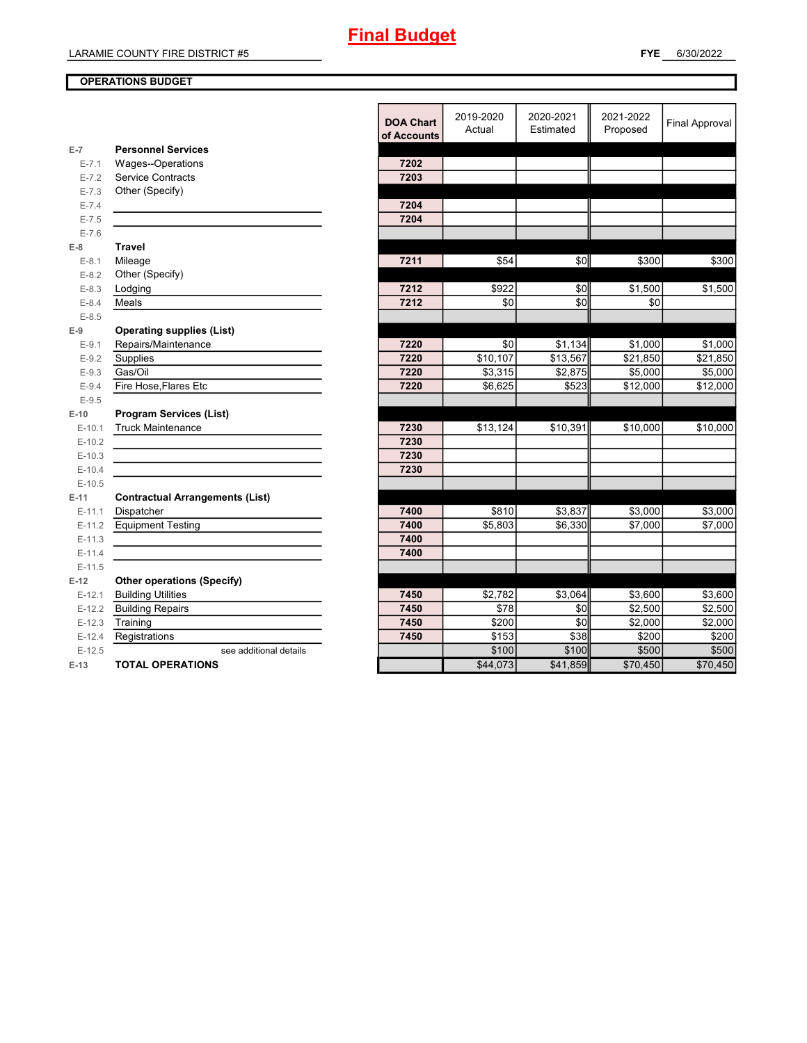#### **OPERATIONS BUDGET**

|           |                                        | <b>DOA Chart</b><br>of Accounts | 2019-2020<br>Actual | 2020-2021<br>Estimated | 2021-2022<br>Proposed | <b>Final Approval</b> |
|-----------|----------------------------------------|---------------------------------|---------------------|------------------------|-----------------------|-----------------------|
| $E-7$     | <b>Personnel Services</b>              |                                 |                     |                        |                       |                       |
| $E - 7.1$ | Wages--Operations                      | 7202                            |                     |                        |                       |                       |
| $E - 7.2$ | <b>Service Contracts</b>               | 7203                            |                     |                        |                       |                       |
| $E - 7.3$ | Other (Specify)                        |                                 |                     |                        |                       |                       |
| $E - 7.4$ |                                        | 7204                            |                     |                        |                       |                       |
| $E - 7.5$ |                                        | 7204                            |                     |                        |                       |                       |
| $E - 7.6$ |                                        |                                 |                     |                        |                       |                       |
| $E-8$     | <b>Travel</b>                          |                                 |                     |                        |                       |                       |
| $E-8.1$   | Mileage                                | 7211                            | \$54                | \$0                    | \$300                 | \$300                 |
| $E - 8.2$ | Other (Specify)                        |                                 |                     |                        |                       |                       |
| $E-8.3$   | Lodging                                | 7212                            | \$922               | \$0                    | \$1,500               | \$1,500               |
| $E - 8.4$ | Meals                                  | 7212                            | \$0                 | \$0                    | \$0                   |                       |
| $E - 8.5$ |                                        |                                 |                     |                        |                       |                       |
| $E-9$     | <b>Operating supplies (List)</b>       |                                 |                     |                        |                       |                       |
| $E-9.1$   | Repairs/Maintenance                    | 7220                            | \$0                 | \$1,134                | \$1,000               | \$1,000               |
| $E-9.2$   | Supplies                               | 7220                            | \$10,107            | \$13,567               | \$21,850              | \$21,850              |
| $E-9.3$   | Gas/Oil                                | 7220                            | \$3,315             | \$2,875                | \$5,000               | \$5,000               |
| $E-9.4$   | Fire Hose, Flares Etc                  | 7220                            | \$6,625             | \$523                  | \$12,000              | \$12,000              |
| $E-9.5$   |                                        |                                 |                     |                        |                       |                       |
| $E-10$    | <b>Program Services (List)</b>         |                                 |                     |                        |                       |                       |
| $E-10.1$  | <b>Truck Maintenance</b>               | 7230                            | \$13,124            | \$10,391               | \$10,000              | \$10,000              |
| $E-10.2$  |                                        | 7230                            |                     |                        |                       |                       |
| $E-10.3$  |                                        | 7230                            |                     |                        |                       |                       |
| $E-10.4$  |                                        | 7230                            |                     |                        |                       |                       |
| $E-10.5$  |                                        |                                 |                     |                        |                       |                       |
| $E-11$    | <b>Contractual Arrangements (List)</b> |                                 |                     |                        |                       |                       |
| $E-11.1$  | Dispatcher                             | 7400                            | \$810               | \$3,837                | \$3,000               | \$3,000               |
| $E-11.2$  | <b>Equipment Testing</b>               | 7400                            | \$5,803             | \$6,330                | \$7,000               | \$7,000               |
| $E-11.3$  |                                        | 7400                            |                     |                        |                       |                       |
| $E-11.4$  |                                        | 7400                            |                     |                        |                       |                       |
| $E-11.5$  |                                        |                                 |                     |                        |                       |                       |
| $E-12$    | <b>Other operations (Specify)</b>      |                                 |                     |                        |                       |                       |
| $E-12.1$  | <b>Building Utilities</b>              | 7450                            | \$2,782             | \$3,064                | \$3,600               | $\overline{$}3,600$   |
| $E-12.2$  | <b>Building Repairs</b>                | 7450                            | \$78                | \$0                    | \$2,500               | \$2,500               |
| $E-12.3$  | Training                               | 7450                            | \$200               | \$0                    | \$2,000               | \$2,000               |
| $E-12.4$  | Registrations                          | 7450                            | \$153               | \$38                   | \$200                 | \$200                 |
| $E-12.5$  | see additional details                 |                                 | \$100               | \$100                  | \$500                 | \$500                 |
| $E-13$    | <b>TOTAL OPERATIONS</b>                |                                 | \$44,073            | \$41,859               | \$70,450              | \$70,450              |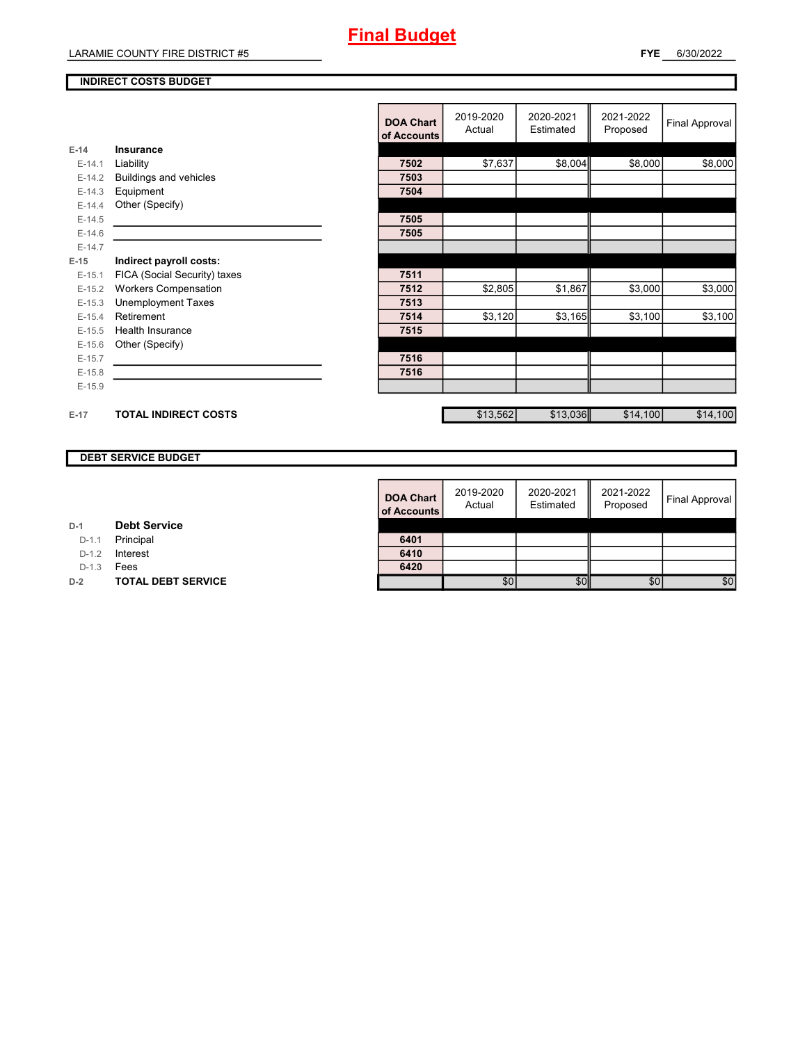#### **INDIRECT COSTS BUDGET**

|          |                              | <b>DOA Chart</b><br>of Accounts | 2019-2020<br>Actual | 2020-2021<br>Estimated | 2021-2022<br>Proposed | <b>Final Approval</b> |
|----------|------------------------------|---------------------------------|---------------------|------------------------|-----------------------|-----------------------|
| $E-14$   | Insurance                    |                                 |                     |                        |                       |                       |
| $E-14.1$ | Liability                    | 7502                            | \$7,637             | \$8,004                | \$8,000               | \$8,000               |
| $E-14.2$ | Buildings and vehicles       | 7503                            |                     |                        |                       |                       |
| $E-14.3$ | Equipment                    | 7504                            |                     |                        |                       |                       |
| $E-14.4$ | Other (Specify)              |                                 |                     |                        |                       |                       |
| $E-14.5$ |                              | 7505                            |                     |                        |                       |                       |
| $E-14.6$ |                              | 7505                            |                     |                        |                       |                       |
| $E-14.7$ |                              |                                 |                     |                        |                       |                       |
| $E-15$   | Indirect payroll costs:      |                                 |                     |                        |                       |                       |
| $E-15.1$ | FICA (Social Security) taxes | 7511                            |                     |                        |                       |                       |
| $E-15.2$ | <b>Workers Compensation</b>  | 7512                            | \$2,805             | \$1,867                | \$3,000               | \$3,000               |
| $E-15.3$ | <b>Unemployment Taxes</b>    | 7513                            |                     |                        |                       |                       |
| $E-15.4$ | Retirement                   | 7514                            | \$3,120             | \$3,165                | \$3,100               | \$3,100               |
| $E-15.5$ | Health Insurance             | 7515                            |                     |                        |                       |                       |
| $E-15.6$ | Other (Specify)              |                                 |                     |                        |                       |                       |
| $E-15.7$ |                              | 7516                            |                     |                        |                       |                       |
| $E-15.8$ |                              | 7516                            |                     |                        |                       |                       |
| $E-15.9$ |                              |                                 |                     |                        |                       |                       |
|          |                              |                                 |                     |                        |                       |                       |
| $E-17$   | <b>TOTAL INDIRECT COSTS</b>  |                                 | \$13,562            | \$13,036               | \$14,100              | \$14,100              |

### **DEBT SERVICE BUDGET**

| <b>DOA Chart</b><br>of Accounts | 2019-2020<br>Actual | 2020-2021<br>Estimated | 2021-2022<br>Proposed | Final Approval |
|---------------------------------|---------------------|------------------------|-----------------------|----------------|
| 6401                            |                     |                        |                       |                |
| 6410                            |                     |                        |                       |                |
| 6420                            |                     |                        |                       |                |
|                                 | \$0                 |                        | \$0                   | \$0            |

| D-1 | <b>Debt Service</b> |
|-----|---------------------|
|-----|---------------------|

D-1.1 **Principal** 

D-1.2 **Interest** 

D-1.3 **Fees** 

**D-2 TOTAL DEBT SERVICE**